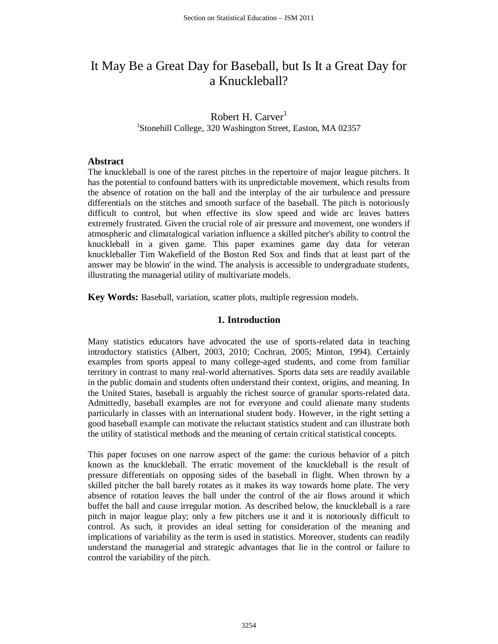# It May Be a Great Day for Baseball, but Is It a Great Day for a Knuckleball?

# Robert H. Carver<sup>1</sup> <sup>1</sup>Stonehill College, 320 Washington Street, Easton, MA 02357

#### **Abstract**

The knuckleball is one of the rarest pitches in the repertoire of major league pitchers. It has the potential to confound batters with its unpredictable movement, which results from the absence of rotation on the ball and the interplay of the air turbulence and pressure differentials on the stitches and smooth surface of the baseball. The pitch is notoriously difficult to control, but when effective its slow speed and wide arc leaves batters extremely frustrated. Given the crucial role of air pressure and movement, one wonders if atmospheric and climatalogical variation influence a skilled pitcher's ability to control the knuckleball in a given game. This paper examines game day data for veteran knuckleballer Tim Wakefield of the Boston Red Sox and finds that at least part of the answer may be blowin' in the wind. The analysis is accessible to undergraduate students, illustrating the managerial utility of multivariate models.

**Key Words:** Baseball, variation, scatter plots, multiple regression models.

## **1. Introduction**

Many statistics educators have advocated the use of sports-related data in teaching introductory statistics [\(Albert, 2003,](#page-13-0) [2010;](#page-13-1) [Cochran, 2005;](#page-13-2) [Minton, 1994\)](#page-14-0). Certainly examples from sports appeal to many college-aged students, and come from familiar territory in contrast to many real-world alternatives. Sports data sets are readily available in the public domain and students often understand their context, origins, and meaning. In the United States, baseball is arguably the richest source of granular sports-related data. Admittedly, baseball examples are not for everyone and could alienate many students particularly in classes with an international student body. However, in the right setting a good baseball example can motivate the reluctant statistics student and can illustrate both the utility of statistical methods and the meaning of certain critical statistical concepts.

This paper focuses on one narrow aspect of the game: the curious behavior of a pitch known as the knuckleball. The erratic movement of the knuckleball is the result of pressure differentials on opposing sides of the baseball in flight. When thrown by a skilled pitcher the ball barely rotates as it makes its way towards home plate. The very absence of rotation leaves the ball under the control of the air flows around it which buffet the ball and cause irregular motion. As described below, the knuckleball is a rare pitch in major league play; only a few pitchers use it and it is notoriously difficult to control. As such, it provides an ideal setting for consideration of the meaning and implications of variability as the term is used in statistics. Moreover, students can readily understand the managerial and strategic advantages that lie in the control or failure to control the variability of the pitch.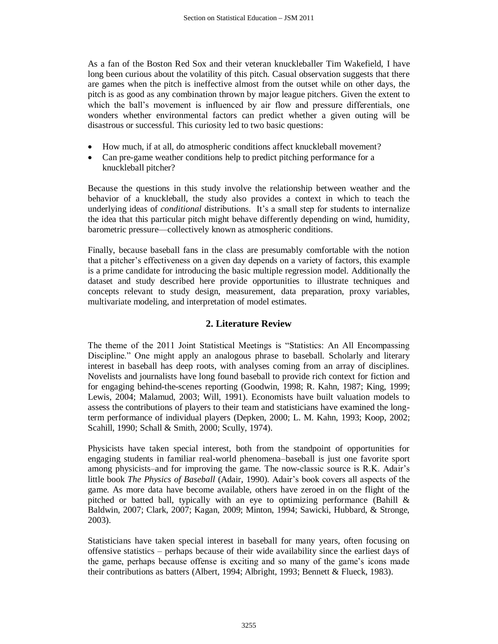As a fan of the Boston Red Sox and their veteran knuckleballer Tim Wakefield, I have long been curious about the volatility of this pitch. Casual observation suggests that there are games when the pitch is ineffective almost from the outset while on other days, the pitch is as good as any combination thrown by major league pitchers. Given the extent to which the ball's movement is influenced by air flow and pressure differentials, one wonders whether environmental factors can predict whether a given outing will be disastrous or successful. This curiosity led to two basic questions:

- How much, if at all, do atmospheric conditions affect knuckleball movement?
- Can pre-game weather conditions help to predict pitching performance for a knuckleball pitcher?

Because the questions in this study involve the relationship between weather and the behavior of a knuckleball, the study also provides a context in which to teach the underlying ideas of *conditional* distributions. It's a small step for students to internalize the idea that this particular pitch might behave differently depending on wind, humidity, barometric pressure—collectively known as atmospheric conditions.

Finally, because baseball fans in the class are presumably comfortable with the notion that a pitcher's effectiveness on a given day depends on a variety of factors, this example is a prime candidate for introducing the basic multiple regression model. Additionally the dataset and study described here provide opportunities to illustrate techniques and concepts relevant to study design, measurement, data preparation, proxy variables, multivariate modeling, and interpretation of model estimates.

## **2. Literature Review**

The theme of the 2011 Joint Statistical Meetings is "Statistics: An All Encompassing Discipline." One might apply an analogous phrase to baseball. Scholarly and literary interest in baseball has deep roots, with analyses coming from an array of disciplines. Novelists and journalists have long found baseball to provide rich context for fiction and for engaging behind-the-scenes reporting [\(Goodwin, 1998;](#page-13-3) [R. Kahn, 1987;](#page-13-4) [King, 1999;](#page-13-5) [Lewis, 2004;](#page-14-1) [Malamud, 2003;](#page-14-2) [Will, 1991\)](#page-14-3). Economists have built valuation models to assess the contributions of players to their team and statisticians have examined the longterm performance of individual players [\(Depken, 2000;](#page-13-6) [L. M. Kahn, 1993;](#page-13-7) [Koop, 2002;](#page-14-4) [Scahill, 1990;](#page-14-5) [Schall & Smith, 2000;](#page-14-6) [Scully, 1974\)](#page-14-7).

Physicists have taken special interest, both from the standpoint of opportunities for engaging students in familiar real-world phenomena–baseball is just one favorite sport among physicists–and for improving the game. The now-classic source is R.K. Adair's little book *The Physics of Baseball* [\(Adair, 1990\)](#page-13-8). Adair's book covers all aspects of the game. As more data have become available, others have zeroed in on the flight of the pitched or batted ball, typically with an eye to optimizing performance (Bahill  $\&$ [Baldwin, 2007;](#page-13-9) [Clark,](#page-13-10) 2007; [Kagan, 2009;](#page-13-11) [Minton, 1994;](#page-14-0) [Sawicki, Hubbard, & Stronge,](#page-14-8)  [2003\)](#page-14-8).

Statisticians have taken special interest in baseball for many years, often focusing on offensive statistics – perhaps because of their wide availability since the earliest days of the game, perhaps because offense is exciting and so many of the game's icons made their contributions as batters [\(Albert, 1994;](#page-13-12) [Albright, 1993;](#page-13-13) [Bennett & Flueck, 1983\)](#page-13-14).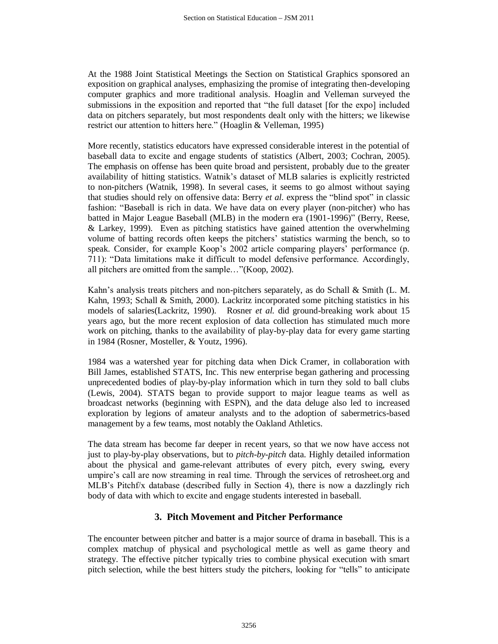At the 1988 Joint Statistical Meetings the Section on Statistical Graphics sponsored an exposition on graphical analyses, emphasizing the promise of integrating then-developing computer graphics and more traditional analysis. Hoaglin and Velleman surveyed the submissions in the exposition and reported that "the full dataset [for the expo] included data on pitchers separately, but most respondents dealt only with the hitters; we likewise restrict our attention to hitters here." [\(Hoaglin & Velleman, 1995\)](#page-13-15)

More recently, statistics educators have expressed considerable interest in the potential of baseball data to excite and engage students of statistics [\(Albert, 2003;](#page-13-0) [Cochran, 2005\)](#page-13-2). The emphasis on offense has been quite broad and persistent, probably due to the greater availability of hitting statistics. Watnik's dataset of MLB salaries is explicitly restricted to non-pitchers [\(Watnik, 1998\)](#page-14-9). In several cases, it seems to go almost without saying that studies should rely on offensive data: Berry *et al.* express the "blind spot" in classic fashion: "Baseball is rich in data. We have data on every player (non-pitcher) who has batted in Major League Baseball (MLB) in the modern era (1901-1996)" [\(Berry, Reese,](#page-13-16)  [& Larkey, 1999\)](#page-13-16). Even as pitching statistics have gained attention the overwhelming volume of batting records often keeps the pitchers' statistics warming the bench, so to speak. Consider, for example Koop's 2002 article comparing players' performance (p. 711): "Data limitations make it difficult to model defensive performance. Accordingly, all pitchers are omitted from the sample…"[\(Koop, 2002\)](#page-14-4).

Kahn's analysis treats pitchers and non-pitchers separately, as do Schall & Smith [\(L. M.](#page-13-7)  [Kahn, 1993;](#page-13-7) [Schall & Smith, 2000\)](#page-14-6). Lackritz incorporated some pitching statistics in his models of salaries[\(Lackritz, 1990\)](#page-14-10). Rosner *et al.* did ground-breaking work about 15 years ago, but the more recent explosion of data collection has stimulated much more work on pitching, thanks to the availability of play-by-play data for every game starting in 1984 [\(Rosner, Mosteller, & Youtz, 1996\)](#page-14-11).

1984 was a watershed year for pitching data when Dick Cramer, in collaboration with Bill James, established STATS, Inc. This new enterprise began gathering and processing unprecedented bodies of play-by-play information which in turn they sold to ball clubs [\(Lewis, 2004\)](#page-14-1). STATS began to provide support to major league teams as well as broadcast networks (beginning with ESPN), and the data deluge also led to increased exploration by legions of amateur analysts and to the adoption of sabermetrics-based management by a few teams, most notably the Oakland Athletics.

The data stream has become far deeper in recent years, so that we now have access not just to play-by-play observations, but to *pitch-by-pitch* data. Highly detailed information about the physical and game-relevant attributes of every pitch, every swing, every umpire's call are now streaming in real time. Through the services of retrosheet.org and MLB's Pitchf/x database (described fully in Section 4), there is now a dazzlingly rich body of data with which to excite and engage students interested in baseball.

## **3. Pitch Movement and Pitcher Performance**

The encounter between pitcher and batter is a major source of drama in baseball. This is a complex matchup of physical and psychological mettle as well as game theory and strategy. The effective pitcher typically tries to combine physical execution with smart pitch selection, while the best hitters study the pitchers, looking for "tells" to anticipate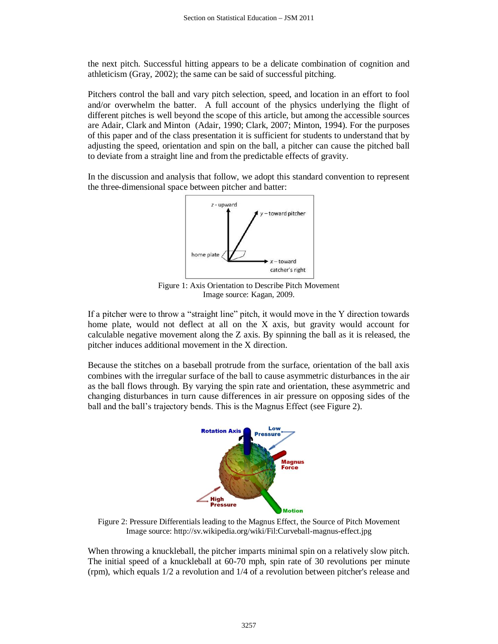the next pitch. Successful hitting appears to be a delicate combination of cognition and athleticism [\(Gray, 2002\)](#page-13-17); the same can be said of successful pitching.

Pitchers control the ball and vary pitch selection, speed, and location in an effort to fool and/or overwhelm the batter. A full account of the physics underlying the flight of different pitches is well beyond the scope of this article, but among the accessible sources are Adair, Clark and Minton [\(Adair, 1990;](#page-13-8) [Clark, 2007;](#page-13-10) [Minton, 1994\)](#page-14-0). For the purposes of this paper and of the class presentation it is sufficient for students to understand that by adjusting the speed, orientation and spin on the ball, a pitcher can cause the pitched ball to deviate from a straight line and from the predictable effects of gravity.

In the discussion and analysis that follow, we adopt this standard convention to represent the three-dimensional space between pitcher and batter:



Figure 1: Axis Orientation to Describe Pitch Movement Image source: [Kagan,](http://sv.wikipedia.org/wiki/Fil:Curveball-magnus-effect.jpg) 2009.

If a pitcher were to throw a "straight line" pitch, it would move in the Y direction towards home plate, would not deflect at all on the X axis, but gravity would account for calculable negative movement along the Z axis. By spinning the ball as it is released, the pitcher induces additional movement in the X direction.

Because the stitches on a baseball protrude from the surface, orientation of the ball axis combines with the irregular surface of the ball to cause asymmetric disturbances in the air as the ball flows through. By varying the spin rate and orientation, these asymmetric and changing disturbances in turn cause differences in air pressure on opposing sides of the ball and the ball's trajectory bends. This is the Magnus Effect (see Figure 2).



Figure 2: Pressure Differentials leading to the Magnus Effect, the Source of Pitch Movement Image source:<http://sv.wikipedia.org/wiki/Fil:Curveball-magnus-effect.jpg>

When throwing a knuckleball, the pitcher imparts minimal spin on a relatively slow pitch. The initial speed of a knuckleball at 60-70 mph, spin rate of 30 revolutions per minute (rpm), which equals 1/2 a revolution and 1/4 of a revolution between pitcher's release and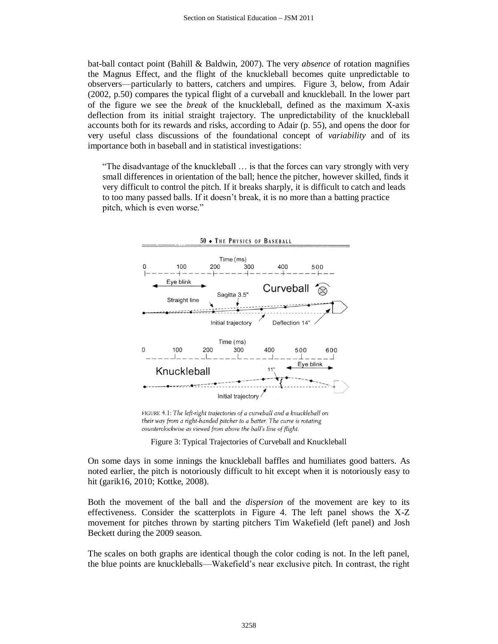bat-ball contact point [\(Bahill & Baldwin, 2007\)](#page-13-9). The very *absence* of rotation magnifies the Magnus Effect, and the flight of the knuckleball becomes quite unpredictable to observers—particularly to batters, catchers and umpires. Figure 3, below, from Adair (2002, p.50) compares the typical flight of a curveball and knuckleball. In the lower part of the figure we see the *break* of the knuckleball, defined as the maximum X-axis deflection from its initial straight trajectory. The unpredictability of the knuckleball accounts both for its rewards and risks, according to Adair (p. 55), and opens the door for very useful class discussions of the foundational concept of *variability* and of its importance both in baseball and in statistical investigations:

"The disadvantage of the knuckleball … is that the forces can vary strongly with very small differences in orientation of the ball; hence the pitcher, however skilled, finds it very difficult to control the pitch. If it breaks sharply, it is difficult to catch and leads to too many passed balls. If it doesn't break, it is no more than a batting practice pitch, which is even worse."



FIGURE 4.1: The left-right trajectories of a curveball and a knuckleball on their way from a right-handed pitcher to a batter. The curve is rotating counterclockwise as viewed from above the ball's line of flight.

Figure 3: Typical Trajectories of Curveball and Knuckleball

On some days in some innings the knuckleball baffles and humiliates good batters. As noted earlier, the pitch is notoriously difficult to hit except when it is notoriously easy to hit [\(garik16, 2010;](#page-13-18) [Kottke, 2008\)](#page-14-12).

Both the movement of the ball and the *dispersion* of the movement are key to its effectiveness. Consider the scatterplots in Figure 4. The left panel shows the X-Z movement for pitches thrown by starting pitchers Tim Wakefield (left panel) and Josh Beckett during the 2009 season.

The scales on both graphs are identical though the color coding is not. In the left panel, the blue points are knuckleballs—Wakefield's near exclusive pitch. In contrast, the right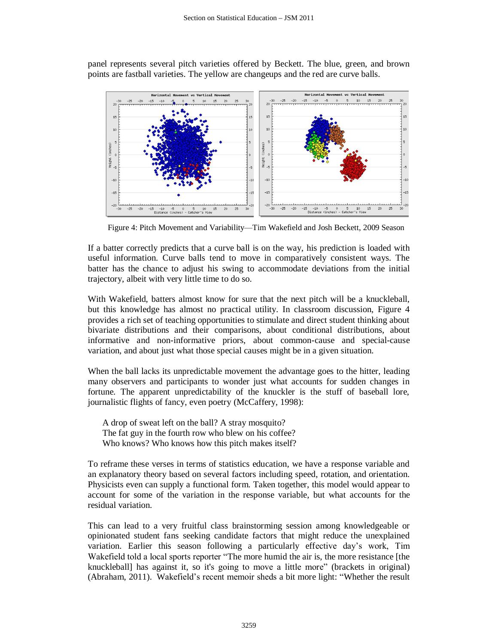panel represents several pitch varieties offered by Beckett. The blue, green, and brown points are fastball varieties. The yellow are changeups and the red are curve balls.



Figure 4: Pitch Movement and Variability—Tim Wakefield and Josh Beckett, 2009 Season

If a batter correctly predicts that a curve ball is on the way, his prediction is loaded with useful information. Curve balls tend to move in comparatively consistent ways. The batter has the chance to adjust his swing to accommodate deviations from the initial trajectory, albeit with very little time to do so.

With Wakefield, batters almost know for sure that the next pitch will be a knuckleball, but this knowledge has almost no practical utility. In classroom discussion, Figure 4 provides a rich set of teaching opportunities to stimulate and direct student thinking about bivariate distributions and their comparisons, about conditional distributions, about informative and non-informative priors, about common-cause and special-cause variation, and about just what those special causes might be in a given situation.

When the ball lacks its unpredictable movement the advantage goes to the hitter, leading many observers and participants to wonder just what accounts for sudden changes in fortune. The apparent unpredictability of the knuckler is the stuff of baseball lore, journalistic flights of fancy, even poetry [\(McCaffery, 1998\)](#page-14-13):

A drop of sweat left on the ball? A stray mosquito? The fat guy in the fourth row who blew on his coffee? Who knows? Who knows how this pitch makes itself?

To reframe these verses in terms of statistics education, we have a response variable and an explanatory theory based on several factors including speed, rotation, and orientation. Physicists even can supply a functional form. Taken together, this model would appear to account for some of the variation in the response variable, but what accounts for the residual variation.

This can lead to a very fruitful class brainstorming session among knowledgeable or opinionated student fans seeking candidate factors that might reduce the unexplained variation. Earlier this season following a particularly effective day's work, Tim Wakefield told a local sports reporter "The more humid the air is, the more resistance [the knuckleball] has against it, so it's going to move a little more" (brackets in original) [\(Abraham, 2011\)](#page-12-0). Wakefield's recent memoir sheds a bit more light: "Whether the result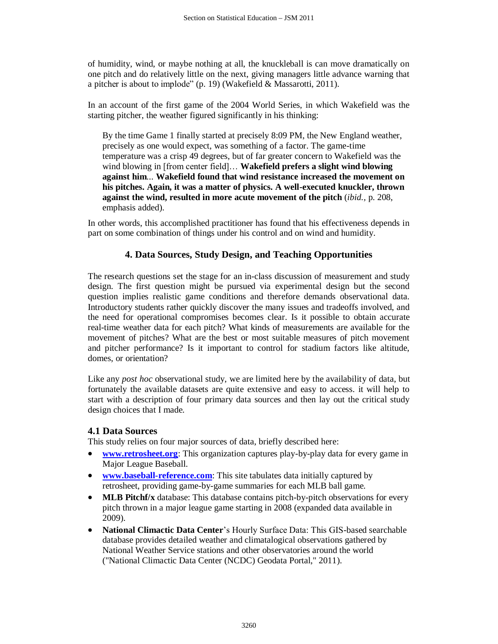of humidity, wind, or maybe nothing at all, the knuckleball is can move dramatically on one pitch and do relatively little on the next, giving managers little advance warning that a pitcher is about to implode" (p. 19) [\(Wakefield & Massarotti, 2011\)](#page-14-14).

In an account of the first game of the 2004 World Series, in which Wakefield was the starting pitcher, the weather figured significantly in his thinking:

By the time Game 1 finally started at precisely 8:09 PM, the New England weather, precisely as one would expect, was something of a factor. The game-time temperature was a crisp 49 degrees, but of far greater concern to Wakefield was the wind blowing in [from center field]… **Wakefield prefers a slight wind blowing against him**... **Wakefield found that wind resistance increased the movement on his pitches. Again, it was a matter of physics. A well-executed knuckler, thrown against the wind, resulted in more acute movement of the pitch** (*ibid.,* p. 208, emphasis added).

In other words, this accomplished practitioner has found that his effectiveness depends in part on some combination of things under his control and on wind and humidity.

## **4. Data Sources, Study Design, and Teaching Opportunities**

The research questions set the stage for an in-class discussion of measurement and study design. The first question might be pursued via experimental design but the second question implies realistic game conditions and therefore demands observational data. Introductory students rather quickly discover the many issues and tradeoffs involved, and the need for operational compromises becomes clear. Is it possible to obtain accurate real-time weather data for each pitch? What kinds of measurements are available for the movement of pitches? What are the best or most suitable measures of pitch movement and pitcher performance? Is it important to control for stadium factors like altitude, domes, or orientation?

Like any *post hoc* observational study, we are limited here by the availability of data, but fortunately the available datasets are quite extensive and easy to access. it will help to start with a description of four primary data sources and then lay out the critical study design choices that I made.

#### **4.1 Data Sources**

This study relies on four major sources of data, briefly described here:

- **[www.retrosheet.org](http://www.retrosheet.org/)**: This organization captures play-by-play data for every game in Major League Baseball.
- **[www.baseball-reference.com](http://www.baseball-reference.com/)**: This site tabulates data initially captured by retrosheet, providing game-by-game summaries for each MLB ball game.
- **MLB Pitchf/x** database: This database contains pitch-by-pitch observations for every pitch thrown in a major league game starting in 2008 (expanded data available in 2009).
- **National Climactic Data Center**'s Hourly Surface Data: This GIS-based searchable database provides detailed weather and climatalogical observations gathered by National Weather Service stations and other observatories around the world [\("National Climactic Data Center \(NCDC\) Geodata Portal," 2011\)](#page-14-15).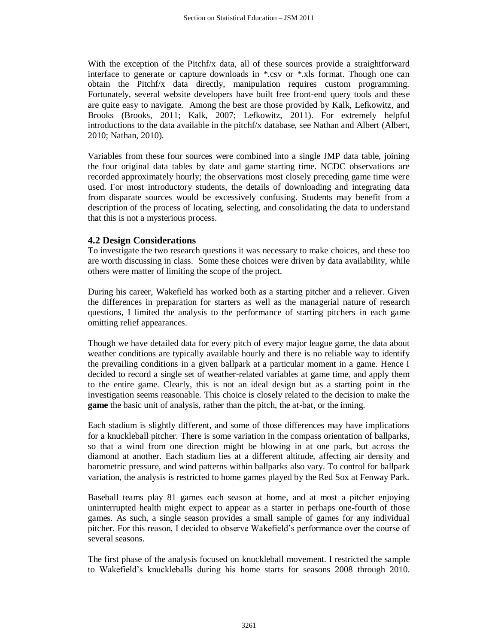With the exception of the Pitchf/x data, all of these sources provide a straightforward interface to generate or capture downloads in \*.csv or \*.xls format. Though one can obtain the Pitchf/x data directly, manipulation requires custom programming. Fortunately, several website developers have built free front-end query tools and these are quite easy to navigate. Among the best are those provided by Kalk, Lefkowitz, and Brooks [\(Brooks, 2011;](#page-13-19) [Kalk, 2007;](#page-13-20) [Lefkowitz, 2011\)](#page-14-16). For extremely helpful introductions to the data available in the pitchf/x database, see Nathan and Albert [\(Albert,](#page-13-1)  [2010;](#page-13-1) [Nathan, 2010\)](#page-14-17).

Variables from these four sources were combined into a single JMP data table, joining the four original data tables by date and game starting time. NCDC observations are recorded approximately hourly; the observations most closely preceding game time were used. For most introductory students, the details of downloading and integrating data from disparate sources would be excessively confusing. Students may benefit from a description of the process of locating, selecting, and consolidating the data to understand that this is not a mysterious process.

## **4.2 Design Considerations**

To investigate the two research questions it was necessary to make choices, and these too are worth discussing in class. Some these choices were driven by data availability, while others were matter of limiting the scope of the project.

During his career, Wakefield has worked both as a starting pitcher and a reliever. Given the differences in preparation for starters as well as the managerial nature of research questions, I limited the analysis to the performance of starting pitchers in each game omitting relief appearances.

Though we have detailed data for every pitch of every major league game, the data about weather conditions are typically available hourly and there is no reliable way to identify the prevailing conditions in a given ballpark at a particular moment in a game. Hence I decided to record a single set of weather-related variables at game time, and apply them to the entire game. Clearly, this is not an ideal design but as a starting point in the investigation seems reasonable. This choice is closely related to the decision to make the **game** the basic unit of analysis, rather than the pitch, the at-bat, or the inning.

Each stadium is slightly different, and some of those differences may have implications for a knuckleball pitcher. There is some variation in the compass orientation of ballparks, so that a wind from one direction might be blowing in at one park, but across the diamond at another. Each stadium lies at a different altitude, affecting air density and barometric pressure, and wind patterns within ballparks also vary. To control for ballpark variation, the analysis is restricted to home games played by the Red Sox at Fenway Park.

Baseball teams play 81 games each season at home, and at most a pitcher enjoying uninterrupted health might expect to appear as a starter in perhaps one-fourth of those games. As such, a single season provides a small sample of games for any individual pitcher. For this reason, I decided to observe Wakefield's performance over the course of several seasons.

The first phase of the analysis focused on knuckleball movement. I restricted the sample to Wakefield's knuckleballs during his home starts for seasons 2008 through 2010.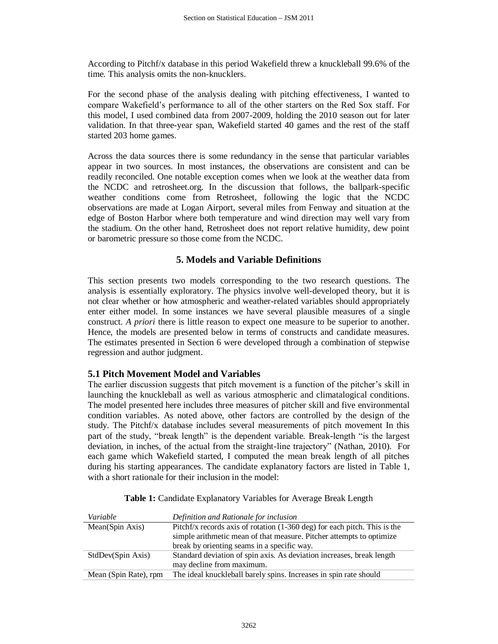According to Pitchf/x database in this period Wakefield threw a knuckleball 99.6% of the time. This analysis omits the non-knucklers.

For the second phase of the analysis dealing with pitching effectiveness, I wanted to compare Wakefield's performance to all of the other starters on the Red Sox staff. For this model, I used combined data from 2007-2009, holding the 2010 season out for later validation. In that three-year span, Wakefield started 40 games and the rest of the staff started 203 home games.

Across the data sources there is some redundancy in the sense that particular variables appear in two sources. In most instances, the observations are consistent and can be readily reconciled. One notable exception comes when we look at the weather data from the NCDC and retrosheet.org. In the discussion that follows, the ballpark-specific weather conditions come from Retrosheet, following the logic that the NCDC observations are made at Logan Airport, several miles from Fenway and situation at the edge of Boston Harbor where both temperature and wind direction may well vary from the stadium. On the other hand, Retrosheet does not report relative humidity, dew point or barometric pressure so those come from the NCDC.

## **5. Models and Variable Definitions**

This section presents two models corresponding to the two research questions. The analysis is essentially exploratory. The physics involve well-developed theory, but it is not clear whether or how atmospheric and weather-related variables should appropriately enter either model. In some instances we have several plausible measures of a single construct. *A priori* there is little reason to expect one measure to be superior to another. Hence, the models are presented below in terms of constructs and candidate measures. The estimates presented in Section 6 were developed through a combination of stepwise regression and author judgment.

## **5.1 Pitch Movement Model and Variables**

The earlier discussion suggests that pitch movement is a function of the pitcher's skill in launching the knuckleball as well as various atmospheric and climatalogical conditions. The model presented here includes three measures of pitcher skill and five environmental condition variables. As noted above, other factors are controlled by the design of the study. The Pitchf/x database includes several measurements of pitch movement In this part of the study, "break length" is the dependent variable. Break-length "is the largest deviation, in inches, of the actual from the straight-line trajectory" [\(Nathan, 2010\)](#page-14-17). For each game which Wakefield started, I computed the mean break length of all pitches during his starting appearances. The candidate explanatory factors are listed in Table 1, with a short rationale for their inclusion in the model:

| Variable              | Definition and Rationale for inclusion                                       |
|-----------------------|------------------------------------------------------------------------------|
| Mean(Spin Axis)       | Pitchf/x records axis of rotation $(1-360 \deg)$ for each pitch. This is the |
|                       | simple arithmetic mean of that measure. Pitcher attempts to optimize         |
|                       | break by orienting seams in a specific way.                                  |
| StdDev(Spin Axis)     | Standard deviation of spin axis. As deviation increases, break length        |
|                       | may decline from maximum.                                                    |
| Mean (Spin Rate), rpm | The ideal knuckleball barely spins. Increases in spin rate should            |

| Table 1: Candidate Explanatory Variables for Average Break Length |  |  |  |
|-------------------------------------------------------------------|--|--|--|
|-------------------------------------------------------------------|--|--|--|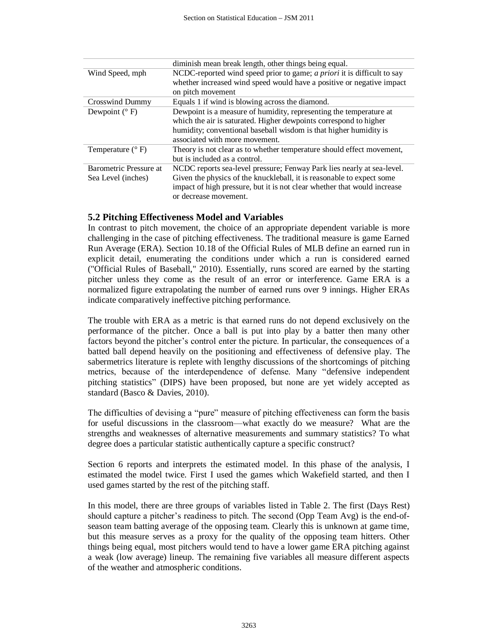|                           | diminish mean break length, other things being equal.                          |
|---------------------------|--------------------------------------------------------------------------------|
| Wind Speed, mph           | NCDC-reported wind speed prior to game; <i>a priori</i> it is difficult to say |
|                           | whether increased wind speed would have a positive or negative impact          |
|                           | on pitch movement                                                              |
| Crosswind Dummy           | Equals 1 if wind is blowing across the diamond.                                |
| Dewpoint $(^{\circ}$ F)   | Dewpoint is a measure of humidity, representing the temperature at             |
|                           | which the air is saturated. Higher dewpoints correspond to higher              |
|                           | humidity; conventional baseball wisdom is that higher humidity is              |
|                           | associated with more movement.                                                 |
| Temperature $(^{\circ}F)$ | Theory is not clear as to whether temperature should effect movement,          |
|                           | but is included as a control.                                                  |
| Barometric Pressure at    | NCDC reports sea-level pressure; Fenway Park lies nearly at sea-level.         |
| Sea Level (inches)        | Given the physics of the knuckleball, it is reasonable to expect some          |
|                           | impact of high pressure, but it is not clear whether that would increase       |
|                           | or decrease movement.                                                          |

#### **5.2 Pitching Effectiveness Model and Variables**

In contrast to pitch movement, the choice of an appropriate dependent variable is more challenging in the case of pitching effectiveness. The traditional measure is game Earned Run Average (ERA). Section 10.18 of the Official Rules of MLB define an earned run in explicit detail, enumerating the conditions under which a run is considered earned [\("Official Rules of Baseball," 2010\)](#page-14-18). Essentially, runs scored are earned by the starting pitcher unless they come as the result of an error or interference. Game ERA is a normalized figure extrapolating the number of earned runs over 9 innings. Higher ERAs indicate comparatively ineffective pitching performance.

The trouble with ERA as a metric is that earned runs do not depend exclusively on the performance of the pitcher. Once a ball is put into play by a batter then many other factors beyond the pitcher's control enter the picture. In particular, the consequences of a batted ball depend heavily on the positioning and effectiveness of defensive play. The sabermetrics literature is replete with lengthy discussions of the shortcomings of pitching metrics, because of the interdependence of defense. Many "defensive independent pitching statistics" (DIPS) have been proposed, but none are yet widely accepted as standard [\(Basco & Davies, 2010\)](#page-13-21).

The difficulties of devising a "pure" measure of pitching effectiveness can form the basis for useful discussions in the classroom—what exactly do we measure? What are the strengths and weaknesses of alternative measurements and summary statistics? To what degree does a particular statistic authentically capture a specific construct?

Section 6 reports and interprets the estimated model. In this phase of the analysis, I estimated the model twice. First I used the games which Wakefield started, and then I used games started by the rest of the pitching staff.

In this model, there are three groups of variables listed in Table 2. The first (Days Rest) should capture a pitcher's readiness to pitch. The second (Opp Team Avg) is the end-ofseason team batting average of the opposing team. Clearly this is unknown at game time, but this measure serves as a proxy for the quality of the opposing team hitters. Other things being equal, most pitchers would tend to have a lower game ERA pitching against a weak (low average) lineup. The remaining five variables all measure different aspects of the weather and atmospheric conditions.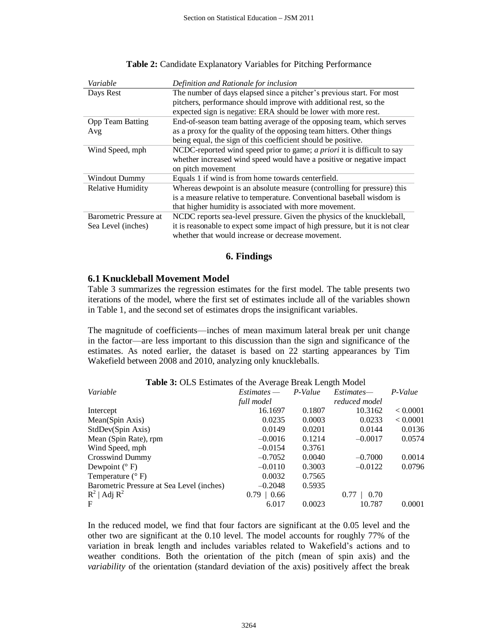| Variable                 | Definition and Rationale for inclusion                                         |
|--------------------------|--------------------------------------------------------------------------------|
| Days Rest                | The number of days elapsed since a pitcher's previous start. For most          |
|                          | pitchers, performance should improve with additional rest, so the              |
|                          | expected sign is negative: ERA should be lower with more rest.                 |
| Opp Team Batting         | End-of-season team batting average of the opposing team, which serves          |
| Avg                      | as a proxy for the quality of the opposing team hitters. Other things          |
|                          | being equal, the sign of this coefficient should be positive.                  |
| Wind Speed, mph          | NCDC-reported wind speed prior to game; <i>a priori</i> it is difficult to say |
|                          | whether increased wind speed would have a positive or negative impact          |
|                          | on pitch movement                                                              |
| <b>Windout Dummy</b>     | Equals 1 if wind is from home towards centerfield.                             |
| <b>Relative Humidity</b> | Whereas dewpoint is an absolute measure (controlling for pressure) this        |
|                          | is a measure relative to temperature. Conventional baseball wisdom is          |
|                          | that higher humidity is associated with more movement.                         |
| Barometric Pressure at   | NCDC reports sea-level pressure. Given the physics of the knuckleball,         |
| Sea Level (inches)       | it is reasonable to expect some impact of high pressure, but it is not clear   |
|                          | whether that would increase or decrease movement.                              |

#### **Table 2:** Candidate Explanatory Variables for Pitching Performance

#### **6. Findings**

#### **6.1 Knuckleball Movement Model**

Table 3 summarizes the regression estimates for the first model. The table presents two iterations of the model, where the first set of estimates include all of the variables shown in Table 1, and the second set of estimates drops the insignificant variables.

The magnitude of coefficients—inches of mean maximum lateral break per unit change in the factor—are less important to this discussion than the sign and significance of the estimates. As noted earlier, the dataset is based on 22 starting appearances by Tim Wakefield between 2008 and 2010, analyzing only knuckleballs.

| <b>Table 3: OLS</b> Estimates of the Average Break Length Model |                 |         |               |          |
|-----------------------------------------------------------------|-----------------|---------|---------------|----------|
| Variable                                                        | $Estimates -$   | P-Value | Estimates—    | P-Value  |
|                                                                 | full model      |         | reduced model |          |
| Intercept                                                       | 16.1697         | 0.1807  | 10.3162       | < 0.0001 |
| Mean(Spin Axis)                                                 | 0.0235          | 0.0003  | 0.0233        | < 0.0001 |
| StdDev(Spin Axis)                                               | 0.0149          | 0.0201  | 0.0144        | 0.0136   |
| Mean (Spin Rate), rpm                                           | $-0.0016$       | 0.1214  | $-0.0017$     | 0.0574   |
| Wind Speed, mph                                                 | $-0.0154$       | 0.3761  |               |          |
| Crosswind Dummy                                                 | $-0.7052$       | 0.0040  | $-0.7000$     | 0.0014   |
| Dewpoint $(^{\circ}$ F)                                         | $-0.0110$       | 0.3003  | $-0.0122$     | 0.0796   |
| Temperature $(^{\circ}F)$                                       | 0.0032          | 0.7565  |               |          |
| Barometric Pressure at Sea Level (inches)                       | $-0.2048$       | 0.5935  |               |          |
| $R^2$   Adj $R^2$                                               | $0.79 \pm 0.66$ |         | 0.70<br>0.77  |          |
| F                                                               | 6.017           | 0.0023  | 10.787        | 0.0001   |

**Table 3:** OLS Estimates of the Average Break Length Model

In the reduced model, we find that four factors are significant at the 0.05 level and the other two are significant at the 0.10 level. The model accounts for roughly 77% of the variation in break length and includes variables related to Wakefield's actions and to weather conditions. Both the orientation of the pitch (mean of spin axis) and the *variability* of the orientation (standard deviation of the axis) positively affect the break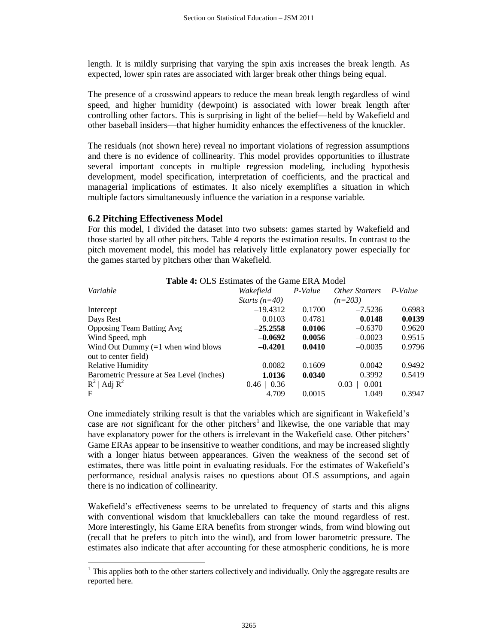length. It is mildly surprising that varying the spin axis increases the break length. As expected, lower spin rates are associated with larger break other things being equal.

The presence of a crosswind appears to reduce the mean break length regardless of wind speed, and higher humidity (dewpoint) is associated with lower break length after controlling other factors. This is surprising in light of the belief—held by Wakefield and other baseball insiders—that higher humidity enhances the effectiveness of the knuckler.

The residuals (not shown here) reveal no important violations of regression assumptions and there is no evidence of collinearity. This model provides opportunities to illustrate several important concepts in multiple regression modeling, including hypothesis development, model specification, interpretation of coefficients, and the practical and managerial implications of estimates. It also nicely exemplifies a situation in which multiple factors simultaneously influence the variation in a response variable.

## **6.2 Pitching Effectiveness Model**

 $\overline{a}$ 

For this model, I divided the dataset into two subsets: games started by Wakefield and those started by all other pitchers. Table 4 reports the estimation results. In contrast to the pitch movement model, this model has relatively little explanatory power especially for the games started by pitchers other than Wakefield.

| <b>Table 4: OLS Estimates of the Game ERA Model</b> |                 |         |                       |         |  |
|-----------------------------------------------------|-----------------|---------|-----------------------|---------|--|
| Variable                                            | Wakefield       | P-Value | <i>Other Starters</i> | P-Value |  |
|                                                     | Starts $(n=40)$ |         | $(n=203)$             |         |  |
| Intercept                                           | $-19.4312$      | 0.1700  | $-7.5236$             | 0.6983  |  |
| Days Rest                                           | 0.0103          | 0.4781  | 0.0148                | 0.0139  |  |
| <b>Opposing Team Batting Avg</b>                    | $-25.2558$      | 0.0106  | $-0.6370$             | 0.9620  |  |
| Wind Speed, mph                                     | $-0.0692$       | 0.0056  | $-0.0023$             | 0.9515  |  |
| Wind Out Dummy $(=1$ when wind blows                | $-0.4201$       | 0.0410  | $-0.0035$             | 0.9796  |  |
| out to center field)                                |                 |         |                       |         |  |
| <b>Relative Humidity</b>                            | 0.0082          | 0.1609  | $-0.0042$             | 0.9492  |  |
| Barometric Pressure at Sea Level (inches)           | 1.0136          | 0.0340  | 0.3992                | 0.5419  |  |
| $R^2$   Adj $R^2$                                   | $0.46 \pm 0.36$ |         | 0.001<br>0.03         |         |  |
| F                                                   | 4.709           | 0.0015  | 1.049                 | 0.3947  |  |

One immediately striking result is that the variables which are significant in Wakefield's case are *not* significant for the other pitchers<sup>1</sup> and likewise, the one variable that may have explanatory power for the others is irrelevant in the Wakefield case. Other pitchers' Game ERAs appear to be insensitive to weather conditions, and may be increased slightly with a longer hiatus between appearances. Given the weakness of the second set of estimates, there was little point in evaluating residuals. For the estimates of Wakefield's performance, residual analysis raises no questions about OLS assumptions, and again there is no indication of collinearity.

Wakefield's effectiveness seems to be unrelated to frequency of starts and this aligns with conventional wisdom that knuckleballers can take the mound regardless of rest. More interestingly, his Game ERA benefits from stronger winds, from wind blowing out (recall that he prefers to pitch into the wind), and from lower barometric pressure. The estimates also indicate that after accounting for these atmospheric conditions, he is more

 $1$  This applies both to the other starters collectively and individually. Only the aggregate results are reported here.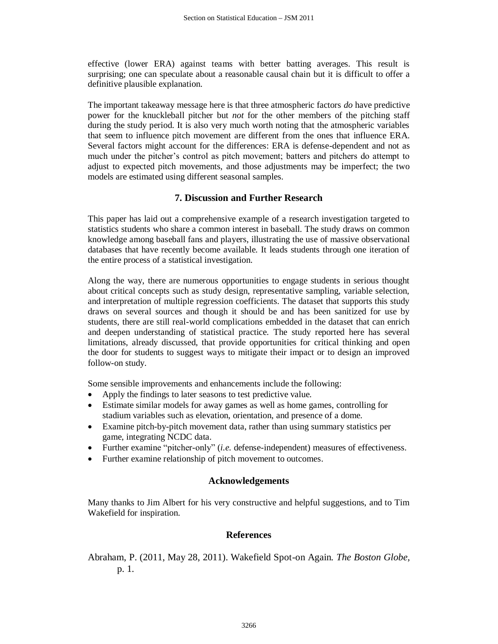effective (lower ERA) against teams with better batting averages. This result is surprising; one can speculate about a reasonable causal chain but it is difficult to offer a definitive plausible explanation.

The important takeaway message here is that three atmospheric factors *do* have predictive power for the knuckleball pitcher but *not* for the other members of the pitching staff during the study period. It is also very much worth noting that the atmospheric variables that seem to influence pitch movement are different from the ones that influence ERA. Several factors might account for the differences: ERA is defense-dependent and not as much under the pitcher's control as pitch movement; batters and pitchers do attempt to adjust to expected pitch movements, and those adjustments may be imperfect; the two models are estimated using different seasonal samples.

## **7. Discussion and Further Research**

This paper has laid out a comprehensive example of a research investigation targeted to statistics students who share a common interest in baseball. The study draws on common knowledge among baseball fans and players, illustrating the use of massive observational databases that have recently become available. It leads students through one iteration of the entire process of a statistical investigation.

Along the way, there are numerous opportunities to engage students in serious thought about critical concepts such as study design, representative sampling, variable selection, and interpretation of multiple regression coefficients. The dataset that supports this study draws on several sources and though it should be and has been sanitized for use by students, there are still real-world complications embedded in the dataset that can enrich and deepen understanding of statistical practice. The study reported here has several limitations, already discussed, that provide opportunities for critical thinking and open the door for students to suggest ways to mitigate their impact or to design an improved follow-on study.

Some sensible improvements and enhancements include the following:

- Apply the findings to later seasons to test predictive value.
- Estimate similar models for away games as well as home games, controlling for stadium variables such as elevation, orientation, and presence of a dome.
- Examine pitch-by-pitch movement data, rather than using summary statistics per game, integrating NCDC data.
- Further examine "pitcher-only" (*i.e.* defense-independent) measures of effectiveness.
- Further examine relationship of pitch movement to outcomes.

#### **Acknowledgements**

Many thanks to Jim Albert for his very constructive and helpful suggestions, and to Tim Wakefield for inspiration.

#### **References**

<span id="page-12-0"></span>Abraham, P. (2011, May 28, 2011). Wakefield Spot-on Again*. The Boston Globe,* p. 1.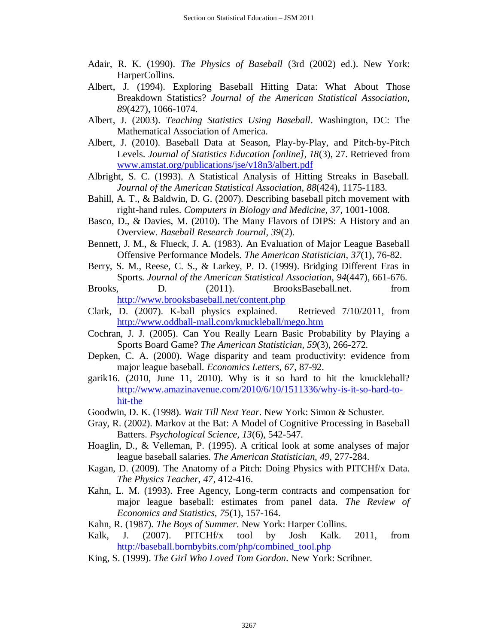- <span id="page-13-8"></span>Adair, R. K. (1990). *The Physics of Baseball* (3rd (2002) ed.). New York: HarperCollins.
- <span id="page-13-12"></span>Albert, J. (1994). Exploring Baseball Hitting Data: What About Those Breakdown Statistics? *Journal of the American Statistical Association, 89*(427), 1066-1074.
- <span id="page-13-0"></span>Albert, J. (2003). *Teaching Statistics Using Baseball*. Washington, DC: The Mathematical Association of America.
- <span id="page-13-1"></span>Albert, J. (2010). Baseball Data at Season, Play-by-Play, and Pitch-by-Pitch Levels. *Journal of Statistics Education [online], 18*(3), 27. Retrieved from [www.amstat.org/publications/jse/v18n3/albert.pdf](http://www.amstat.org/publications/jse/v18n3/albert.pdf)
- <span id="page-13-13"></span>Albright, S. C. (1993). A Statistical Analysis of Hitting Streaks in Baseball. *Journal of the American Statistical Association, 88*(424), 1175-1183.
- <span id="page-13-9"></span>Bahill, A. T., & Baldwin, D. G. (2007). Describing baseball pitch movement with right-hand rules. *Computers in Biology and Medicine, 37*, 1001-1008.
- <span id="page-13-21"></span>Basco, D., & Davies, M. (2010). The Many Flavors of DIPS: A History and an Overview. *Baseball Research Journal, 39*(2).
- <span id="page-13-14"></span>Bennett, J. M., & Flueck, J. A. (1983). An Evaluation of Major League Baseball Offensive Performance Models. *The American Statistician, 37*(1), 76-82.
- <span id="page-13-16"></span>Berry, S. M., Reese, C. S., & Larkey, P. D. (1999). Bridging Different Eras in Sports. *Journal of the American Statistical Association, 94*(447), 661-676.
- <span id="page-13-19"></span>Brooks, D. (2011). BrooksBaseball.net. from <http://www.brooksbaseball.net/content.php>
- <span id="page-13-10"></span>Clark, D. (2007). K-ball physics explained. Retrieved 7/10/2011, from <http://www.oddball-mall.com/knuckleball/mego.htm>
- <span id="page-13-2"></span>Cochran, J. J. (2005). Can You Really Learn Basic Probability by Playing a Sports Board Game? *The American Statistician, 59*(3), 266-272.
- <span id="page-13-6"></span>Depken, C. A. (2000). Wage disparity and team productivity: evidence from major league baseball. *Economics Letters, 67*, 87-92.
- <span id="page-13-18"></span>garik16. (2010, June 11, 2010). Why is it so hard to hit the knuckleball? [http://www.amazinavenue.com/2010/6/10/1511336/why-is-it-so-hard-to](http://www.amazinavenue.com/2010/6/10/1511336/why-is-it-so-hard-to-hit-the)[hit-the](http://www.amazinavenue.com/2010/6/10/1511336/why-is-it-so-hard-to-hit-the)
- <span id="page-13-3"></span>Goodwin, D. K. (1998). *Wait Till Next Year*. New York: Simon & Schuster.
- <span id="page-13-17"></span>Gray, R. (2002). Markov at the Bat: A Model of Cognitive Processing in Baseball Batters. *Psychological Science, 13*(6), 542-547.
- <span id="page-13-15"></span>Hoaglin, D., & Velleman, P. (1995). A critical look at some analyses of major league baseball salaries. *The American Statistician, 49*, 277-284.
- <span id="page-13-11"></span>Kagan, D. (2009). The Anatomy of a Pitch: Doing Physics with PITCHf/x Data. *The Physics Teacher, 47*, 412-416.
- <span id="page-13-7"></span>Kahn, L. M. (1993). Free Agency, Long-term contracts and compensation for major league baseball: estimates from panel data. *The Review of Economics and Statistics, 75*(1), 157-164.
- <span id="page-13-4"></span>Kahn, R. (1987). *The Boys of Summer*. New York: Harper Collins.
- <span id="page-13-20"></span>Kalk, J. (2007). PITCHf/x tool by Josh Kalk. 2011, from [http://baseball.bornbybits.com/php/combined\\_tool.php](http://baseball.bornbybits.com/php/combined_tool.php)
- <span id="page-13-5"></span>King, S. (1999). *The Girl Who Loved Tom Gordon*. New York: Scribner.